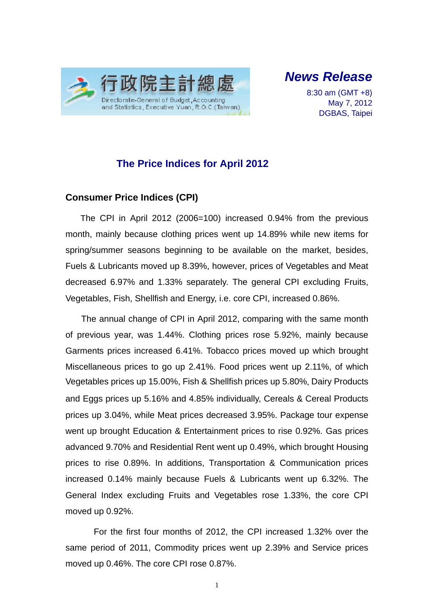

*News Release* 

8:30 am (GMT +8) May 7, 2012 DGBAS, Taipei

### **The Price Indices for April 2012**

### **Consumer Price Indices (CPI)**

The CPI in April 2012 (2006=100) increased 0.94% from the previous month, mainly because clothing prices went up 14.89% while new items for spring/summer seasons beginning to be available on the market, besides, Fuels & Lubricants moved up 8.39%, however, prices of Vegetables and Meat decreased 6.97% and 1.33% separately. The general CPI excluding Fruits, Vegetables, Fish, Shellfish and Energy, i.e. core CPI, increased 0.86%.

The annual change of CPI in April 2012, comparing with the same month of previous year, was 1.44%. Clothing prices rose 5.92%, mainly because Garments prices increased 6.41%. Tobacco prices moved up which brought Miscellaneous prices to go up 2.41%. Food prices went up 2.11%, of which Vegetables prices up 15.00%, Fish & Shellfish prices up 5.80%, Dairy Products and Eggs prices up 5.16% and 4.85% individually, Cereals & Cereal Products prices up 3.04%, while Meat prices decreased 3.95%. Package tour expense went up brought Education & Entertainment prices to rise 0.92%. Gas prices advanced 9.70% and Residential Rent went up 0.49%, which brought Housing prices to rise 0.89%. In additions, Transportation & Communication prices increased 0.14% mainly because Fuels & Lubricants went up 6.32%. The General Index excluding Fruits and Vegetables rose 1.33%, the core CPI moved up 0.92%.

For the first four months of 2012, the CPI increased 1.32% over the same period of 2011, Commodity prices went up 2.39% and Service prices moved up 0.46%. The core CPI rose 0.87%.

1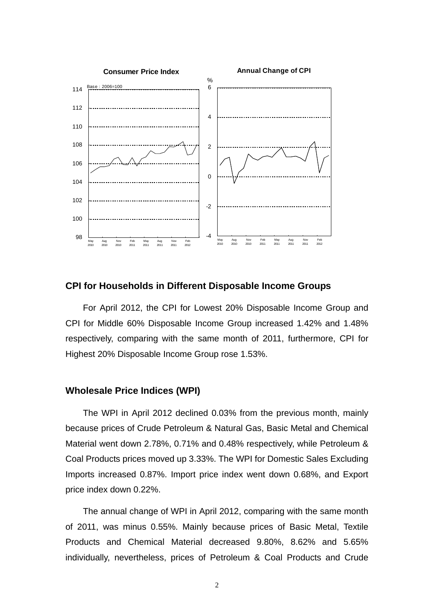

#### **CPI for Households in Different Disposable Income Groups**

For April 2012, the CPI for Lowest 20% Disposable Income Group and CPI for Middle 60% Disposable Income Group increased 1.42% and 1.48% respectively, comparing with the same month of 2011, furthermore, CPI for Highest 20% Disposable Income Group rose 1.53%.

#### **Wholesale Price Indices (WPI)**

The WPI in April 2012 declined 0.03% from the previous month, mainly because prices of Crude Petroleum & Natural Gas, Basic Metal and Chemical Material went down 2.78%, 0.71% and 0.48% respectively, while Petroleum & Coal Products prices moved up 3.33%. The WPI for Domestic Sales Excluding Imports increased 0.87%. Import price index went down 0.68%, and Export price index down 0.22%.

The annual change of WPI in April 2012, comparing with the same month of 2011, was minus 0.55%. Mainly because prices of Basic Metal, Textile Products and Chemical Material decreased 9.80%, 8.62% and 5.65% individually, nevertheless, prices of Petroleum & Coal Products and Crude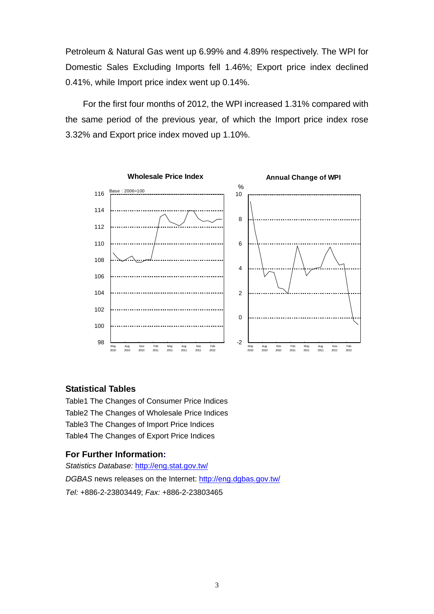Petroleum & Natural Gas went up 6.99% and 4.89% respectively. The WPI for Domestic Sales Excluding Imports fell 1.46%; Export price index declined 0.41%, while Import price index went up 0.14%.

For the first four months of 2012, the WPI increased 1.31% compared with the same period of the previous year, of which the Import price index rose 3.32% and Export price index moved up 1.10%.



### **Statistical Tables**

Table1 The Changes of Consumer Price Indices Table2 The Changes of Wholesale Price Indices Table3 The Changes of Import Price Indices Table4 The Changes of Export Price Indices

### **For Further Information:**

*Statistics Database:* http://eng.stat.gov.tw/ *DGBAS* news releases on the Internet: http://eng.dgbas.gov.tw/ *Tel:* +886-2-23803449; *Fax:* +886-2-23803465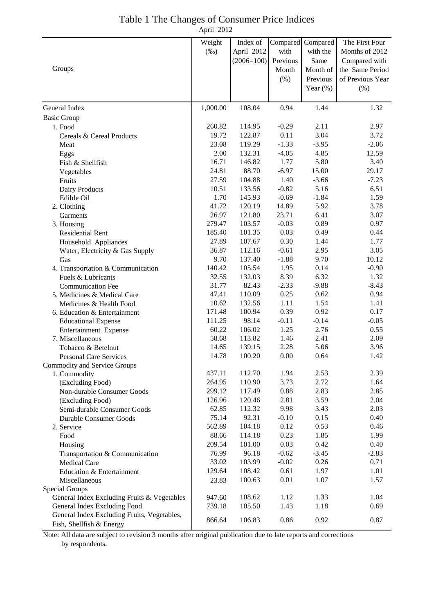|            | Table 1 The Changes of Consumer Price Indices |
|------------|-----------------------------------------------|
| April 2012 |                                               |

|                                                                             | Weight   | Index of              | Compared | Compared    | The First Four   |
|-----------------------------------------------------------------------------|----------|-----------------------|----------|-------------|------------------|
|                                                                             | $(\%0)$  | April 2012            | with     | with the    | Months of 2012   |
|                                                                             |          | $(2006=100)$ Previous |          | Same        | Compared with    |
| Groups                                                                      |          |                       | Month    | Month of    | the Same Period  |
|                                                                             |          |                       | (% )     | Previous    | of Previous Year |
|                                                                             |          |                       |          | Year $(\%)$ | (%)              |
| General Index                                                               | 1,000.00 | 108.04                | 0.94     | 1.44        | 1.32             |
|                                                                             |          |                       |          |             |                  |
| <b>Basic Group</b><br>1. Food                                               | 260.82   | 114.95                | $-0.29$  | 2.11        | 2.97             |
| Cereals & Cereal Products                                                   | 19.72    | 122.87                | 0.11     | 3.04        | 3.72             |
| Meat                                                                        | 23.08    | 119.29                | $-1.33$  | $-3.95$     | $-2.06$          |
| Eggs                                                                        | 2.00     | 132.31                | $-4.05$  | 4.85        | 12.59            |
| Fish & Shellfish                                                            | 16.71    | 146.82                | 1.77     | 5.80        | 3.40             |
| Vegetables                                                                  | 24.81    | 88.70                 | $-6.97$  | 15.00       | 29.17            |
| Fruits                                                                      | 27.59    | 104.88                | 1.40     | $-3.66$     | $-7.23$          |
| Dairy Products                                                              | 10.51    | 133.56                | $-0.82$  | 5.16        | 6.51             |
| Edible Oil                                                                  | 1.70     | 145.93                | $-0.69$  | $-1.84$     | 1.59             |
| 2. Clothing                                                                 | 41.72    | 120.19                | 14.89    | 5.92        | 3.78             |
| Garments                                                                    | 26.97    | 121.80                | 23.71    | 6.41        | 3.07             |
| 3. Housing                                                                  | 279.47   | 103.57                | $-0.03$  | 0.89        | 0.97             |
| <b>Residential Rent</b>                                                     | 185.40   | 101.35                | 0.03     | 0.49        | 0.44             |
| Household Appliances                                                        | 27.89    | 107.67                | 0.30     | 1.44        | 1.77             |
| Water, Electricity & Gas Supply                                             | 36.87    | 112.16                | $-0.61$  | 2.95        | 3.05             |
| Gas                                                                         | 9.70     | 137.40                | $-1.88$  | 9.70        | 10.12            |
| 4. Transportation & Communication                                           | 140.42   | 105.54                | 1.95     | 0.14        | $-0.90$          |
| Fuels & Lubricants                                                          | 32.55    | 132.03                | 8.39     | 6.32        | 1.32             |
| <b>Communication Fee</b>                                                    | 31.77    | 82.43                 | $-2.33$  | $-9.88$     | $-8.43$          |
| 5. Medicines & Medical Care                                                 | 47.41    | 110.09                | 0.25     | 0.62        | 0.94             |
| Medicines & Health Food                                                     | 10.62    | 132.56                | 1.11     | 1.54        | 1.41             |
| 6. Education & Entertainment                                                | 171.48   | 100.94                | 0.39     | 0.92        | 0.17             |
| <b>Educational Expense</b>                                                  | 111.25   | 98.14                 | $-0.11$  | $-0.14$     | $-0.05$          |
| Entertainment Expense                                                       | 60.22    | 106.02                | 1.25     | 2.76        | 0.55             |
| 7. Miscellaneous                                                            | 58.68    | 113.82                | 1.46     | 2.41        | 2.09             |
| Tobacco & Betelnut                                                          | 14.65    | 139.15                | 2.28     | 5.06        | 3.96             |
| <b>Personal Care Services</b>                                               | 14.78    | 100.20                | 0.00     | 0.64        | 1.42             |
| Commodity and Service Groups                                                |          |                       |          |             |                  |
| 1. Commodity                                                                | 437.11   | 112.70                | 1.94     | 2.53        | 2.39             |
| (Excluding Food)                                                            | 264.95   | 110.90                | 3.73     | 2.72        | 1.64             |
| Non-durable Consumer Goods                                                  | 299.12   | 117.49                | 0.88     | 2.83        | 2.85             |
| (Excluding Food)                                                            | 126.96   | 120.46                | 2.81     | 3.59        | 2.04             |
| Semi-durable Consumer Goods                                                 | 62.85    | 112.32                | 9.98     | 3.43        | 2.03             |
| <b>Durable Consumer Goods</b>                                               | 75.14    | 92.31                 | $-0.10$  | 0.15        | 0.40             |
| 2. Service                                                                  | 562.89   | 104.18                | 0.12     | 0.53        | 0.46             |
| Food                                                                        | 88.66    | 114.18                | 0.23     | 1.85        | 1.99             |
| Housing                                                                     | 209.54   | 101.00                | 0.03     | 0.42        | 0.40             |
| Transportation & Communication                                              | 76.99    | 96.18                 | $-0.62$  | $-3.45$     | $-2.83$          |
| <b>Medical Care</b>                                                         | 33.02    | 103.99                | $-0.02$  | 0.26        | 0.71             |
| Education & Entertainment                                                   | 129.64   | 108.42                | 0.61     | 1.97        | 1.01             |
| Miscellaneous                                                               | 23.83    | 100.63                | $0.01\,$ | 1.07        | 1.57             |
| Special Groups                                                              |          | 108.62                | 1.12     | 1.33        | 1.04             |
| General Index Excluding Fruits & Vegetables                                 | 947.60   | 105.50                | 1.43     | 1.18        | 0.69             |
| General Index Excluding Food<br>General Index Excluding Fruits, Vegetables, | 739.18   |                       |          |             |                  |
| Fish, Shellfish & Energy                                                    | 866.64   | 106.83                | 0.86     | 0.92        | 0.87             |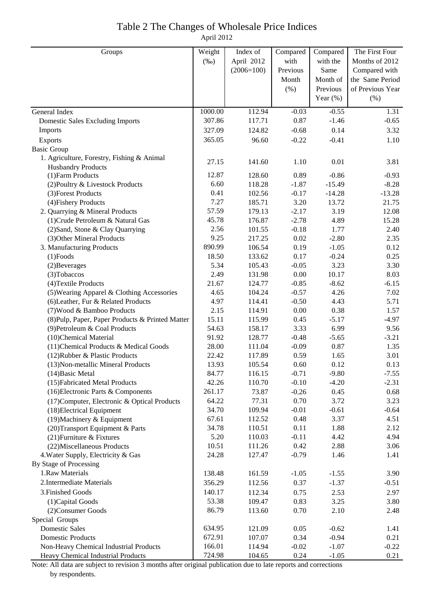# Table 2 The Changes of Wholesale Price Indices

April 2012

| Groups                                               | Weight         | Index of         | Compared     | Compared     | The First Four     |
|------------------------------------------------------|----------------|------------------|--------------|--------------|--------------------|
|                                                      | $(\%0)$        | April 2012       | with         | with the     | Months of 2012     |
|                                                      |                | $(2006=100)$     | Previous     | Same         | Compared with      |
|                                                      |                |                  | Month        | Month of     | the Same Period    |
|                                                      |                |                  | (% )         | Previous     | of Previous Year   |
|                                                      |                |                  |              | Year $(\%)$  | (% )               |
| General Index                                        | 1000.00        | 112.94           | $-0.03$      | $-0.55$      | 1.31               |
| <b>Domestic Sales Excluding Imports</b>              | 307.86         | 117.71           | 0.87         | $-1.46$      | $-0.65$            |
| Imports                                              | 327.09         | 124.82           | $-0.68$      | 0.14         | 3.32               |
| Exports                                              | 365.05         | 96.60            | $-0.22$      | $-0.41$      | 1.10               |
| <b>Basic Group</b>                                   |                |                  |              |              |                    |
| 1. Agriculture, Forestry, Fishing & Animal           | 27.15          | 141.60           | 1.10         | 0.01         | 3.81               |
| <b>Husbandry Products</b>                            |                |                  |              |              |                    |
| (1) Farm Products                                    | 12.87          | 128.60           | 0.89         | $-0.86$      | $-0.93$            |
| (2) Poultry & Livestock Products                     | 6.60           | 118.28           | $-1.87$      | $-15.49$     | $-8.28$            |
| (3) Forest Products                                  | 0.41           | 102.56           | $-0.17$      | $-14.28$     | $-13.28$           |
| (4) Fishery Products                                 | 7.27           | 185.71           | 3.20         | 13.72        | 21.75              |
| 2. Quarrying & Mineral Products                      | 57.59          | 179.13           | $-2.17$      | 3.19         | 12.08              |
| (1) Crude Petroleum & Natural Gas                    | 45.78          | 176.87           | $-2.78$      | 4.89         | 15.28              |
| (2) Sand, Stone & Clay Quarrying                     | 2.56           | 101.55           | $-0.18$      | 1.77         | 2.40               |
| (3) Other Mineral Products                           | 9.25           | 217.25           | 0.02         | $-2.80$      | 2.35               |
| 3. Manufacturing Products                            | 890.99         | 106.54           | 0.19         | $-1.05$      | 0.12               |
| $(1)$ Foods                                          | 18.50          | 133.62           | 0.17         | $-0.24$      | 0.25               |
| (2) Beverages                                        | 5.34           | 105.43           | $-0.05$      | 3.23         | 3.30               |
| (3) Tobaccos                                         | 2.49           | 131.98           | 0.00         | 10.17        | 8.03               |
| (4) Textile Products                                 | 21.67          | 124.77           | $-0.85$      | $-8.62$      | $-6.15$            |
| (5) Wearing Apparel & Clothing Accessories           | 4.65           | 104.24           | $-0.57$      | 4.26         | 7.02               |
| (6) Leather, Fur & Related Products                  | 4.97           | 114.41           | $-0.50$      | 4.43         | 5.71               |
| (7) Wood & Bamboo Products                           | 2.15           | 114.91           | $0.00\,$     | 0.38         | 1.57               |
| (8) Pulp, Paper, Paper Products & Printed Matter     | 15.11          | 115.99           | 0.45         | $-5.17$      | $-4.97$            |
| (9) Petroleum & Coal Products                        | 54.63          | 158.17           | 3.33         | 6.99         | 9.56               |
| (10)Chemical Material                                | 91.92          | 128.77           | $-0.48$      | $-5.65$      | $-3.21$            |
| (11) Chemical Products & Medical Goods               | 28.00          | 111.04<br>117.89 | $-0.09$      | 0.87         | 1.35               |
| (12) Rubber & Plastic Products                       | 22.42<br>13.93 |                  | 0.59<br>0.60 | 1.65<br>0.12 | 3.01               |
| (13) Non-metallic Mineral Products                   | 84.77          | 105.54<br>116.15 | $-0.71$      | $-9.80$      | 0.13               |
| $(14)$ Basic Metal<br>(15) Fabricated Metal Products | 42.26          | 110.70           | $-0.10$      | $-4.20$      | $-7.55$<br>$-2.31$ |
| (16) Electronic Parts & Components                   | 261.17         | 73.87            | $-0.26$      | 0.45         |                    |
| (17) Computer, Electronic & Optical Products         | 64.22          | 77.31            | 0.70         | 3.72         | 0.68<br>3.23       |
| (18) Electrical Equipment                            | 34.70          | 109.94           | $-0.01$      | $-0.61$      | $-0.64$            |
| (19) Machinery & Equipment                           | 67.61          | 112.52           | 0.48         | 3.37         | 4.51               |
| (20) Transport Equipment & Parts                     | 34.78          | 110.51           | 0.11         | 1.88         | 2.12               |
| (21) Furniture & Fixtures                            | 5.20           | 110.03           | $-0.11$      | 4.42         | 4.94               |
| (22) Miscellaneous Products                          | 10.51          | 111.26           | 0.42         | 2.88         | 3.06               |
| 4. Water Supply, Electricity & Gas                   | 24.28          | 127.47           | $-0.79$      | 1.46         | 1.41               |
| By Stage of Processing                               |                |                  |              |              |                    |
| 1.Raw Materials                                      | 138.48         | 161.59           | $-1.05$      | $-1.55$      | 3.90               |
| 2. Intermediate Materials                            | 356.29         | 112.56           | 0.37         | $-1.37$      | $-0.51$            |
| 3. Finished Goods                                    | 140.17         | 112.34           | 0.75         | 2.53         | 2.97               |
| (1) Capital Goods                                    | 53.38          | 109.47           | 0.83         | 3.25         | 3.80               |
| (2) Consumer Goods                                   | 86.79          | 113.60           | 0.70         | 2.10         | 2.48               |
| Special Groups                                       |                |                  |              |              |                    |
| <b>Domestic Sales</b>                                | 634.95         | 121.09           | 0.05         | $-0.62$      | 1.41               |
| <b>Domestic Products</b>                             | 672.91         | 107.07           | 0.34         | $-0.94$      | 0.21               |
| Non-Heavy Chemical Industrial Products               | 166.01         | 114.94           | $-0.02$      | $-1.07$      | $-0.22$            |
| Heavy Chemical Industrial Products                   | 724.98         | 104.65           | 0.24         | $-1.05$      | 0.21               |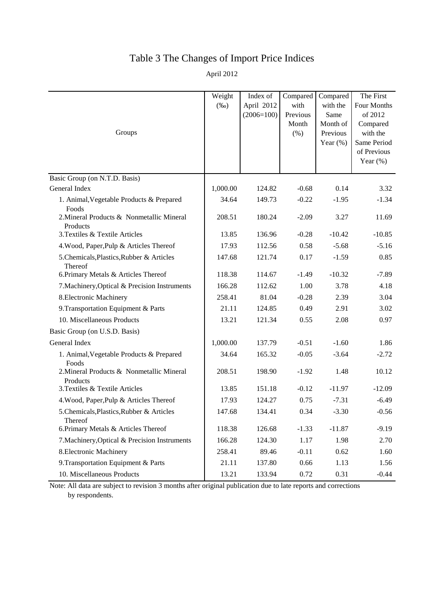## Table 3 The Changes of Import Price Indices

April 2012

| Groups                                                | Weight<br>$(\%0)$ | Index of<br>April 2012<br>$(2006=100)$ | Compared<br>with<br>Previous<br>Month<br>(% ) | Compared<br>with the<br>Same<br>Month of<br>Previous<br>Year $(\% )$ | The First<br>Four Months<br>of 2012<br>Compared<br>with the<br>Same Period<br>of Previous<br>Year $(\%)$ |
|-------------------------------------------------------|-------------------|----------------------------------------|-----------------------------------------------|----------------------------------------------------------------------|----------------------------------------------------------------------------------------------------------|
| Basic Group (on N.T.D. Basis)                         |                   |                                        |                                               |                                                                      |                                                                                                          |
| General Index                                         | 1,000.00          | 124.82                                 | $-0.68$                                       | 0.14                                                                 | 3.32                                                                                                     |
| 1. Animal, Vegetable Products & Prepared<br>Foods     | 34.64             | 149.73                                 | $-0.22$                                       | $-1.95$                                                              | $-1.34$                                                                                                  |
| 2. Mineral Products & Nonmetallic Mineral<br>Products | 208.51            | 180.24                                 | $-2.09$                                       | 3.27                                                                 | 11.69                                                                                                    |
| 3. Textiles & Textile Articles                        | 13.85             | 136.96                                 | $-0.28$                                       | $-10.42$                                                             | $-10.85$                                                                                                 |
| 4. Wood, Paper, Pulp & Articles Thereof               | 17.93             | 112.56                                 | 0.58                                          | $-5.68$                                                              | $-5.16$                                                                                                  |
| 5. Chemicals, Plastics, Rubber & Articles<br>Thereof  | 147.68            | 121.74                                 | 0.17                                          | $-1.59$                                                              | 0.85                                                                                                     |
| 6. Primary Metals & Articles Thereof                  | 118.38            | 114.67                                 | $-1.49$                                       | $-10.32$                                                             | $-7.89$                                                                                                  |
| 7. Machinery, Optical & Precision Instruments         | 166.28            | 112.62                                 | 1.00                                          | 3.78                                                                 | 4.18                                                                                                     |
| 8. Electronic Machinery                               | 258.41            | 81.04                                  | $-0.28$                                       | 2.39                                                                 | 3.04                                                                                                     |
| 9. Transportation Equipment & Parts                   | 21.11             | 124.85                                 | 0.49                                          | 2.91                                                                 | 3.02                                                                                                     |
| 10. Miscellaneous Products                            | 13.21             | 121.34                                 | 0.55                                          | 2.08                                                                 | 0.97                                                                                                     |
| Basic Group (on U.S.D. Basis)                         |                   |                                        |                                               |                                                                      |                                                                                                          |
| General Index                                         | 1,000.00          | 137.79                                 | $-0.51$                                       | $-1.60$                                                              | 1.86                                                                                                     |
| 1. Animal, Vegetable Products & Prepared<br>Foods     | 34.64             | 165.32                                 | $-0.05$                                       | $-3.64$                                                              | $-2.72$                                                                                                  |
| 2. Mineral Products & Nonmetallic Mineral<br>Products | 208.51            | 198.90                                 | $-1.92$                                       | 1.48                                                                 | 10.12                                                                                                    |
| 3. Textiles & Textile Articles                        | 13.85             | 151.18                                 | $-0.12$                                       | $-11.97$                                                             | $-12.09$                                                                                                 |
| 4. Wood, Paper, Pulp & Articles Thereof               | 17.93             | 124.27                                 | 0.75                                          | $-7.31$                                                              | $-6.49$                                                                                                  |
| 5. Chemicals, Plastics, Rubber & Articles<br>Thereof  | 147.68            | 134.41                                 | 0.34                                          | $-3.30$                                                              | $-0.56$                                                                                                  |
| 6. Primary Metals & Articles Thereof                  | 118.38            | 126.68                                 | $-1.33$                                       | $-11.87$                                                             | $-9.19$                                                                                                  |
| 7. Machinery, Optical & Precision Instruments         | 166.28            | 124.30                                 | 1.17                                          | 1.98                                                                 | 2.70                                                                                                     |
| 8. Electronic Machinery                               | 258.41            | 89.46                                  | $-0.11$                                       | 0.62                                                                 | 1.60                                                                                                     |
| 9. Transportation Equipment & Parts                   | 21.11             | 137.80                                 | 0.66                                          | 1.13                                                                 | 1.56                                                                                                     |
| 10. Miscellaneous Products                            | 13.21             | 133.94                                 | 0.72                                          | 0.31                                                                 | $-0.44$                                                                                                  |